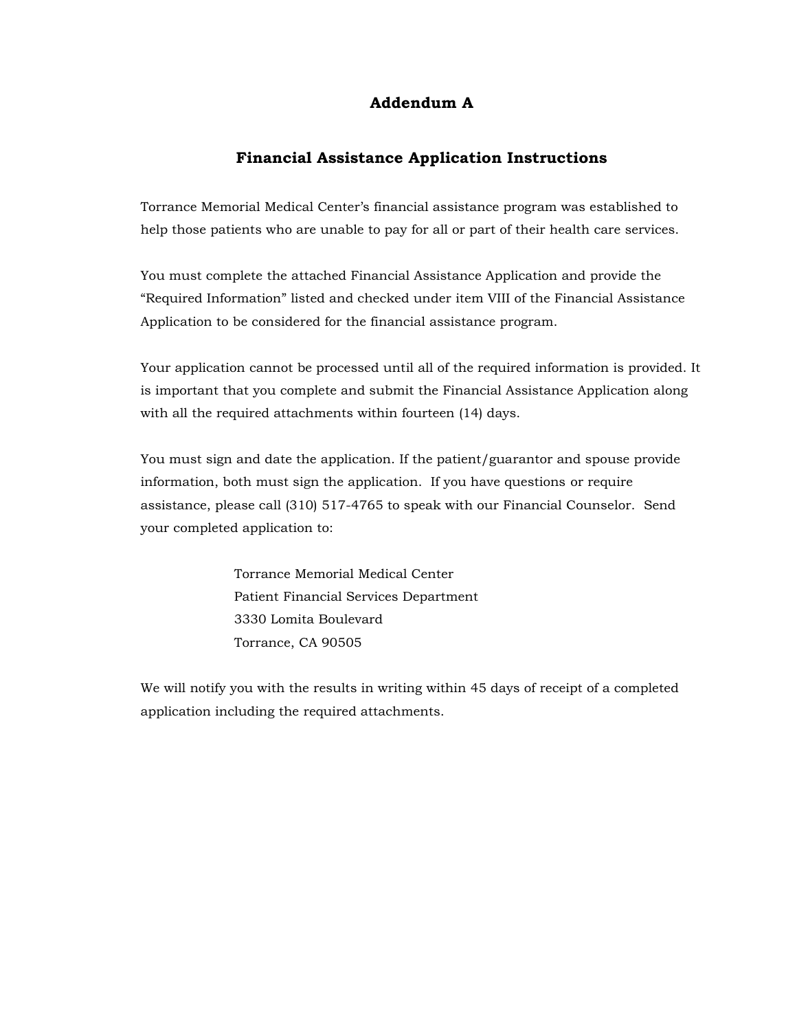## **Addendum A**

## **Financial Assistance Application Instructions**

Torrance Memorial Medical Center's financial assistance program was established to help those patients who are unable to pay for all or part of their health care services.

You must complete the attached Financial Assistance Application and provide the "Required Information" listed and checked under item VIII of the Financial Assistance Application to be considered for the financial assistance program.

Your application cannot be processed until all of the required information is provided. It is important that you complete and submit the Financial Assistance Application along with all the required attachments within fourteen (14) days.

You must sign and date the application. If the patient/guarantor and spouse provide information, both must sign the application. If you have questions or require assistance, please call (310) 517-4765 to speak with our Financial Counselor. Send your completed application to:

> Torrance Memorial Medical Center Patient Financial Services Department 3330 Lomita Boulevard Torrance, CA 90505

We will notify you with the results in writing within 45 days of receipt of a completed application including the required attachments.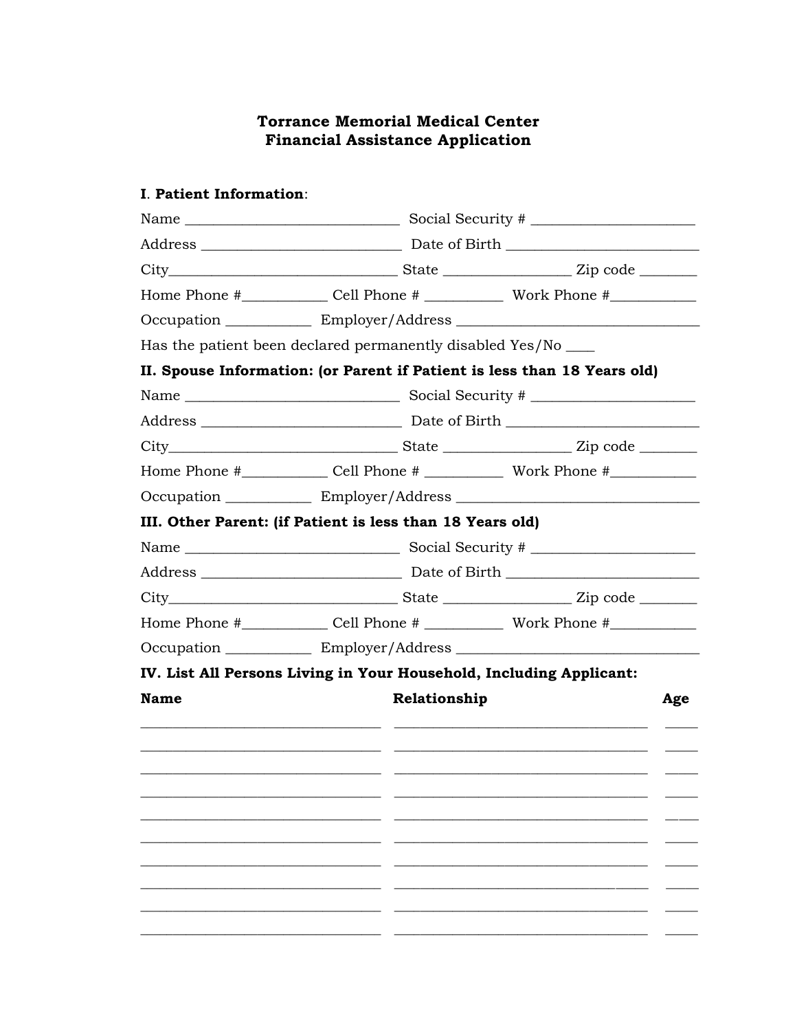## **Torrance Memorial Medical Center Financial Assistance Application**

## **I. Patient Information:**

| Home Phone #________________ Cell Phone # ________________ Work Phone #________________ |                                                                                                                                                                                                                                                                                                                                                                                    |
|-----------------------------------------------------------------------------------------|------------------------------------------------------------------------------------------------------------------------------------------------------------------------------------------------------------------------------------------------------------------------------------------------------------------------------------------------------------------------------------|
|                                                                                         |                                                                                                                                                                                                                                                                                                                                                                                    |
|                                                                                         |                                                                                                                                                                                                                                                                                                                                                                                    |
|                                                                                         |                                                                                                                                                                                                                                                                                                                                                                                    |
|                                                                                         |                                                                                                                                                                                                                                                                                                                                                                                    |
|                                                                                         |                                                                                                                                                                                                                                                                                                                                                                                    |
|                                                                                         |                                                                                                                                                                                                                                                                                                                                                                                    |
|                                                                                         |                                                                                                                                                                                                                                                                                                                                                                                    |
|                                                                                         |                                                                                                                                                                                                                                                                                                                                                                                    |
|                                                                                         |                                                                                                                                                                                                                                                                                                                                                                                    |
|                                                                                         |                                                                                                                                                                                                                                                                                                                                                                                    |
|                                                                                         |                                                                                                                                                                                                                                                                                                                                                                                    |
|                                                                                         |                                                                                                                                                                                                                                                                                                                                                                                    |
|                                                                                         |                                                                                                                                                                                                                                                                                                                                                                                    |
|                                                                                         |                                                                                                                                                                                                                                                                                                                                                                                    |
|                                                                                         |                                                                                                                                                                                                                                                                                                                                                                                    |
|                                                                                         | Age                                                                                                                                                                                                                                                                                                                                                                                |
|                                                                                         |                                                                                                                                                                                                                                                                                                                                                                                    |
|                                                                                         |                                                                                                                                                                                                                                                                                                                                                                                    |
|                                                                                         |                                                                                                                                                                                                                                                                                                                                                                                    |
|                                                                                         |                                                                                                                                                                                                                                                                                                                                                                                    |
|                                                                                         |                                                                                                                                                                                                                                                                                                                                                                                    |
|                                                                                         |                                                                                                                                                                                                                                                                                                                                                                                    |
|                                                                                         |                                                                                                                                                                                                                                                                                                                                                                                    |
|                                                                                         |                                                                                                                                                                                                                                                                                                                                                                                    |
|                                                                                         |                                                                                                                                                                                                                                                                                                                                                                                    |
|                                                                                         | Has the patient been declared permanently disabled Yes/No ___<br>II. Spouse Information: (or Parent if Patient is less than 18 Years old)<br>III. Other Parent: (if Patient is less than 18 Years old)<br>Home Phone #_______________ Cell Phone # _______________ Work Phone #____________<br>IV. List All Persons Living in Your Household, Including Applicant:<br>Relationship |